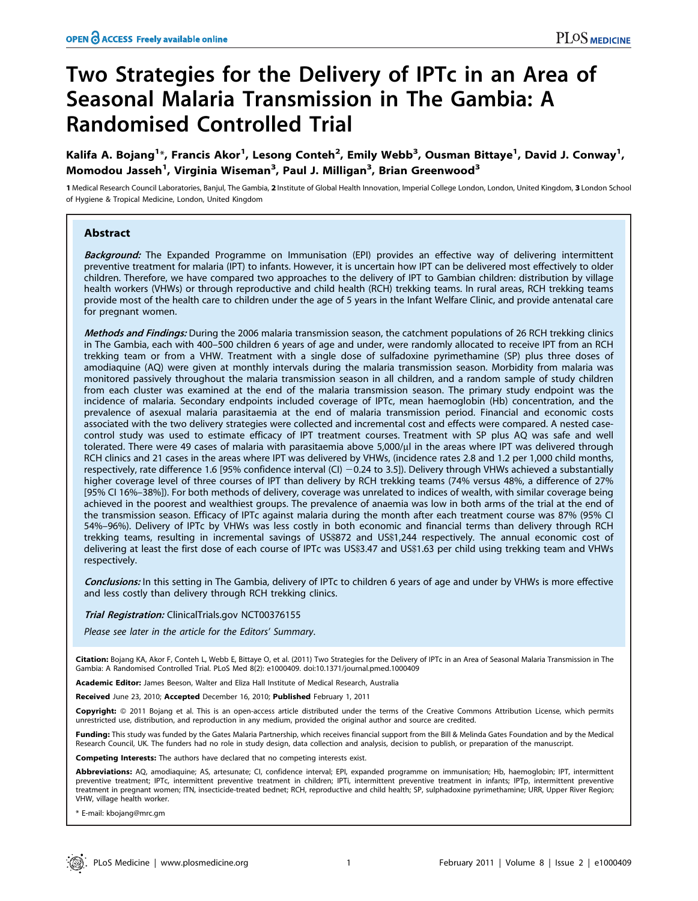# Two Strategies for the Delivery of IPTc in an Area of Seasonal Malaria Transmission in The Gambia: A Randomised Controlled Trial

Kalifa A. Bojang<sup>1</sup>\*, Francis Akor<sup>1</sup>, Lesong Conteh<sup>2</sup>, Emily Webb<sup>3</sup>, Ousman Bittaye<sup>1</sup>, David J. Conway<sup>1</sup>, Momodou Jasseh<sup>1</sup>, Virginia Wiseman<sup>3</sup>, Paul J. Milligan<sup>3</sup>, Brian Greenwood<sup>3</sup>

1 Medical Research Council Laboratories, Banjul, The Gambia, 2 Institute of Global Health Innovation, Imperial College London, London, United Kingdom, 3 London School of Hygiene & Tropical Medicine, London, United Kingdom

# Abstract

Background: The Expanded Programme on Immunisation (EPI) provides an effective way of delivering intermittent preventive treatment for malaria (IPT) to infants. However, it is uncertain how IPT can be delivered most effectively to older children. Therefore, we have compared two approaches to the delivery of IPT to Gambian children: distribution by village health workers (VHWs) or through reproductive and child health (RCH) trekking teams. In rural areas, RCH trekking teams provide most of the health care to children under the age of 5 years in the Infant Welfare Clinic, and provide antenatal care for pregnant women.

Methods and Findings: During the 2006 malaria transmission season, the catchment populations of 26 RCH trekking clinics in The Gambia, each with 400–500 children 6 years of age and under, were randomly allocated to receive IPT from an RCH trekking team or from a VHW. Treatment with a single dose of sulfadoxine pyrimethamine (SP) plus three doses of amodiaquine (AQ) were given at monthly intervals during the malaria transmission season. Morbidity from malaria was monitored passively throughout the malaria transmission season in all children, and a random sample of study children from each cluster was examined at the end of the malaria transmission season. The primary study endpoint was the incidence of malaria. Secondary endpoints included coverage of IPTc, mean haemoglobin (Hb) concentration, and the prevalence of asexual malaria parasitaemia at the end of malaria transmission period. Financial and economic costs associated with the two delivery strategies were collected and incremental cost and effects were compared. A nested casecontrol study was used to estimate efficacy of IPT treatment courses. Treatment with SP plus AQ was safe and well tolerated. There were 49 cases of malaria with parasitaemia above 5,000/µl in the areas where IPT was delivered through RCH clinics and 21 cases in the areas where IPT was delivered by VHWs, (incidence rates 2.8 and 1.2 per 1,000 child months, respectively, rate difference 1.6 [95% confidence interval (CI)  $-0.24$  to 3.5]). Delivery through VHWs achieved a substantially higher coverage level of three courses of IPT than delivery by RCH trekking teams (74% versus 48%, a difference of 27% [95% CI 16%–38%]). For both methods of delivery, coverage was unrelated to indices of wealth, with similar coverage being achieved in the poorest and wealthiest groups. The prevalence of anaemia was low in both arms of the trial at the end of the transmission season. Efficacy of IPTc against malaria during the month after each treatment course was 87% (95% CI 54%–96%). Delivery of IPTc by VHWs was less costly in both economic and financial terms than delivery through RCH trekking teams, resulting in incremental savings of US\$872 and US\$1,244 respectively. The annual economic cost of delivering at least the first dose of each course of IPTc was US\$3.47 and US\$1.63 per child using trekking team and VHWs respectively.

Conclusions: In this setting in The Gambia, delivery of IPTc to children 6 years of age and under by VHWs is more effective and less costly than delivery through RCH trekking clinics.

Trial Registration: ClinicalTrials.gov NCT00376155

Please see later in the article for the Editors' Summary.

Citation: Bojang KA, Akor F, Conteh L, Webb E, Bittaye O, et al. (2011) Two Strategies for the Delivery of IPTc in an Area of Seasonal Malaria Transmission in The Gambia: A Randomised Controlled Trial. PLoS Med 8(2): e1000409. doi:10.1371/journal.pmed.1000409

Academic Editor: James Beeson, Walter and Eliza Hall Institute of Medical Research, Australia

Received June 23, 2010; Accepted December 16, 2010; Published February 1, 2011

Copyright: © 2011 Bojang et al. This is an open-access article distributed under the terms of the Creative Commons Attribution License, which permits unrestricted use, distribution, and reproduction in any medium, provided the original author and source are credited.

Funding: This study was funded by the Gates Malaria Partnership, which receives financial support from the Bill & Melinda Gates Foundation and by the Medical Research Council, UK. The funders had no role in study design, data collection and analysis, decision to publish, or preparation of the manuscript.

**Competing Interests:** The authors have declared that no competing interests exist.

Abbreviations: AQ, amodiaquine; AS, artesunate; CI, confidence interval; EPI, expanded programme on immunisation; Hb, haemoglobin; IPT, intermittent preventive treatment; IPTc, intermittent preventive treatment in children; IPTi, intermittent preventive treatment in infants; IPTp, intermittent preventive treatment in pregnant women; ITN, insecticide-treated bednet; RCH, reproductive and child health; SP, sulphadoxine pyrimethamine; URR, Upper River Region; VHW, village health worker.

\* E-mail: kbojang@mrc.gm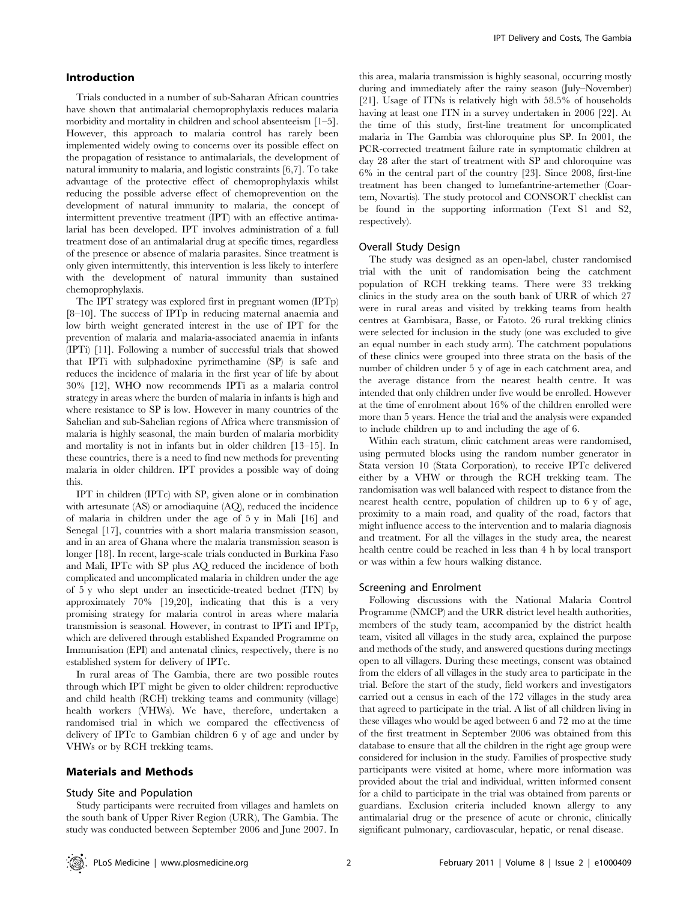#### Introduction

Trials conducted in a number of sub-Saharan African countries have shown that antimalarial chemoprophylaxis reduces malaria morbidity and mortality in children and school absenteeism [1–5]. However, this approach to malaria control has rarely been implemented widely owing to concerns over its possible effect on the propagation of resistance to antimalarials, the development of natural immunity to malaria, and logistic constraints [6,7]. To take advantage of the protective effect of chemoprophylaxis whilst reducing the possible adverse effect of chemoprevention on the development of natural immunity to malaria, the concept of intermittent preventive treatment (IPT) with an effective antimalarial has been developed. IPT involves administration of a full treatment dose of an antimalarial drug at specific times, regardless of the presence or absence of malaria parasites. Since treatment is only given intermittently, this intervention is less likely to interfere with the development of natural immunity than sustained chemoprophylaxis.

The IPT strategy was explored first in pregnant women (IPTp) [8–10]. The success of IPTp in reducing maternal anaemia and low birth weight generated interest in the use of IPT for the prevention of malaria and malaria-associated anaemia in infants (IPTi) [11]. Following a number of successful trials that showed that IPTi with sulphadoxine pyrimethamine (SP) is safe and reduces the incidence of malaria in the first year of life by about 30% [12], WHO now recommends IPTi as a malaria control strategy in areas where the burden of malaria in infants is high and where resistance to SP is low. However in many countries of the Sahelian and sub-Sahelian regions of Africa where transmission of malaria is highly seasonal, the main burden of malaria morbidity and mortality is not in infants but in older children [13–15]. In these countries, there is a need to find new methods for preventing malaria in older children. IPT provides a possible way of doing this.

IPT in children (IPTc) with SP, given alone or in combination with artesunate (AS) or amodiaquine (AQ), reduced the incidence of malaria in children under the age of 5 y in Mali [16] and Senegal [17], countries with a short malaria transmission season, and in an area of Ghana where the malaria transmission season is longer [18]. In recent, large-scale trials conducted in Burkina Faso and Mali, IPTc with SP plus AQ reduced the incidence of both complicated and uncomplicated malaria in children under the age of 5 y who slept under an insecticide-treated bednet (ITN) by approximately 70% [19,20], indicating that this is a very promising strategy for malaria control in areas where malaria transmission is seasonal. However, in contrast to IPTi and IPTp, which are delivered through established Expanded Programme on Immunisation (EPI) and antenatal clinics, respectively, there is no established system for delivery of IPTc.

In rural areas of The Gambia, there are two possible routes through which IPT might be given to older children: reproductive and child health (RCH) trekking teams and community (village) health workers (VHWs). We have, therefore, undertaken a randomised trial in which we compared the effectiveness of delivery of IPTc to Gambian children 6 y of age and under by VHWs or by RCH trekking teams.

## Materials and Methods

#### Study Site and Population

Study participants were recruited from villages and hamlets on the south bank of Upper River Region (URR), The Gambia. The study was conducted between September 2006 and June 2007. In this area, malaria transmission is highly seasonal, occurring mostly during and immediately after the rainy season (July–November) [21]. Usage of ITNs is relatively high with 58.5% of households having at least one ITN in a survey undertaken in 2006 [22]. At the time of this study, first-line treatment for uncomplicated malaria in The Gambia was chloroquine plus SP. In 2001, the PCR-corrected treatment failure rate in symptomatic children at day 28 after the start of treatment with SP and chloroquine was 6% in the central part of the country [23]. Since 2008, first-line treatment has been changed to lumefantrine-artemether (Coartem, Novartis). The study protocol and CONSORT checklist can be found in the supporting information (Text S1 and S2, respectively).

## Overall Study Design

The study was designed as an open-label, cluster randomised trial with the unit of randomisation being the catchment population of RCH trekking teams. There were 33 trekking clinics in the study area on the south bank of URR of which 27 were in rural areas and visited by trekking teams from health centres at Gambisara, Basse, or Fatoto. 26 rural trekking clinics were selected for inclusion in the study (one was excluded to give an equal number in each study arm). The catchment populations of these clinics were grouped into three strata on the basis of the number of children under 5 y of age in each catchment area, and the average distance from the nearest health centre. It was intended that only children under five would be enrolled. However at the time of enrolment about 16% of the children enrolled were more than 5 years. Hence the trial and the analysis were expanded to include children up to and including the age of 6.

Within each stratum, clinic catchment areas were randomised, using permuted blocks using the random number generator in Stata version 10 (Stata Corporation), to receive IPTc delivered either by a VHW or through the RCH trekking team. The randomisation was well balanced with respect to distance from the nearest health centre, population of children up to 6 y of age, proximity to a main road, and quality of the road, factors that might influence access to the intervention and to malaria diagnosis and treatment. For all the villages in the study area, the nearest health centre could be reached in less than 4 h by local transport or was within a few hours walking distance.

#### Screening and Enrolment

Following discussions with the National Malaria Control Programme (NMCP) and the URR district level health authorities, members of the study team, accompanied by the district health team, visited all villages in the study area, explained the purpose and methods of the study, and answered questions during meetings open to all villagers. During these meetings, consent was obtained from the elders of all villages in the study area to participate in the trial. Before the start of the study, field workers and investigators carried out a census in each of the 172 villages in the study area that agreed to participate in the trial. A list of all children living in these villages who would be aged between 6 and 72 mo at the time of the first treatment in September 2006 was obtained from this database to ensure that all the children in the right age group were considered for inclusion in the study. Families of prospective study participants were visited at home, where more information was provided about the trial and individual, written informed consent for a child to participate in the trial was obtained from parents or guardians. Exclusion criteria included known allergy to any antimalarial drug or the presence of acute or chronic, clinically significant pulmonary, cardiovascular, hepatic, or renal disease.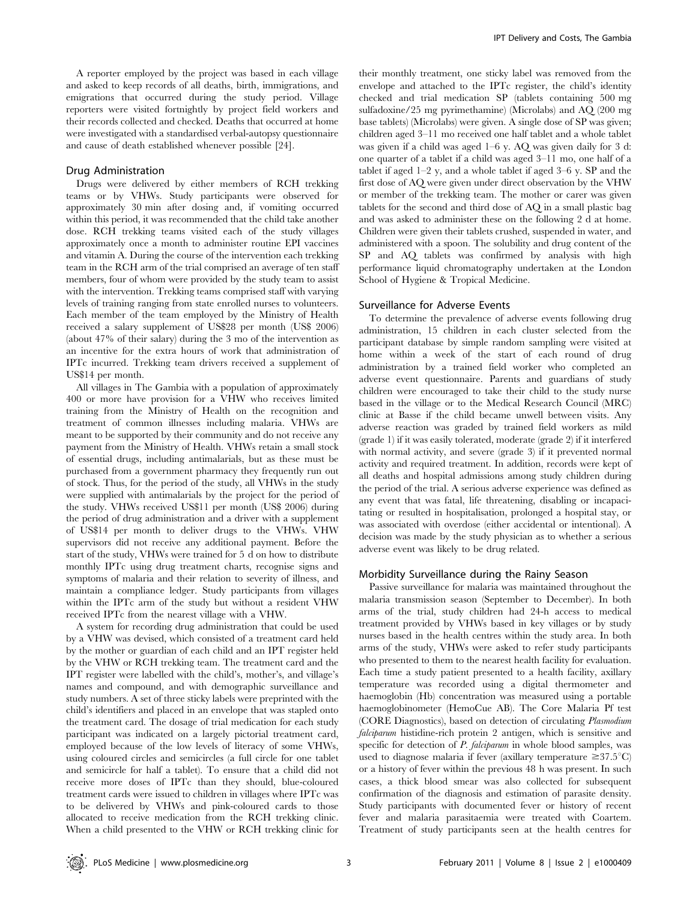A reporter employed by the project was based in each village and asked to keep records of all deaths, birth, immigrations, and emigrations that occurred during the study period. Village reporters were visited fortnightly by project field workers and their records collected and checked. Deaths that occurred at home were investigated with a standardised verbal-autopsy questionnaire and cause of death established whenever possible [24].

#### Drug Administration

Drugs were delivered by either members of RCH trekking teams or by VHWs. Study participants were observed for approximately 30 min after dosing and, if vomiting occurred within this period, it was recommended that the child take another dose. RCH trekking teams visited each of the study villages approximately once a month to administer routine EPI vaccines and vitamin A. During the course of the intervention each trekking team in the RCH arm of the trial comprised an average of ten staff members, four of whom were provided by the study team to assist with the intervention. Trekking teams comprised staff with varying levels of training ranging from state enrolled nurses to volunteers. Each member of the team employed by the Ministry of Health received a salary supplement of US\$28 per month (US\$ 2006) (about 47% of their salary) during the 3 mo of the intervention as an incentive for the extra hours of work that administration of IPTc incurred. Trekking team drivers received a supplement of US\$14 per month.

All villages in The Gambia with a population of approximately 400 or more have provision for a VHW who receives limited training from the Ministry of Health on the recognition and treatment of common illnesses including malaria. VHWs are meant to be supported by their community and do not receive any payment from the Ministry of Health. VHWs retain a small stock of essential drugs, including antimalarials, but as these must be purchased from a government pharmacy they frequently run out of stock. Thus, for the period of the study, all VHWs in the study were supplied with antimalarials by the project for the period of the study. VHWs received US\$11 per month (US\$ 2006) during the period of drug administration and a driver with a supplement of US\$14 per month to deliver drugs to the VHWs. VHW supervisors did not receive any additional payment. Before the start of the study, VHWs were trained for 5 d on how to distribute monthly IPTc using drug treatment charts, recognise signs and symptoms of malaria and their relation to severity of illness, and maintain a compliance ledger. Study participants from villages within the IPTc arm of the study but without a resident VHW received IPTc from the nearest village with a VHW.

A system for recording drug administration that could be used by a VHW was devised, which consisted of a treatment card held by the mother or guardian of each child and an IPT register held by the VHW or RCH trekking team. The treatment card and the IPT register were labelled with the child's, mother's, and village's names and compound, and with demographic surveillance and study numbers. A set of three sticky labels were preprinted with the child's identifiers and placed in an envelope that was stapled onto the treatment card. The dosage of trial medication for each study participant was indicated on a largely pictorial treatment card, employed because of the low levels of literacy of some VHWs, using coloured circles and semicircles (a full circle for one tablet and semicircle for half a tablet). To ensure that a child did not receive more doses of IPTc than they should, blue-coloured treatment cards were issued to children in villages where IPTc was to be delivered by VHWs and pink-coloured cards to those allocated to receive medication from the RCH trekking clinic. When a child presented to the VHW or RCH trekking clinic for their monthly treatment, one sticky label was removed from the envelope and attached to the IPTc register, the child's identity checked and trial medication SP (tablets containing 500 mg sulfadoxine/25 mg pyrimethamine) (Microlabs) and AQ (200 mg base tablets) (Microlabs) were given. A single dose of SP was given; children aged 3–11 mo received one half tablet and a whole tablet was given if a child was aged 1–6 y. AQ was given daily for 3 d: one quarter of a tablet if a child was aged 3–11 mo, one half of a tablet if aged  $1-2$  y, and a whole tablet if aged  $3-6$  y. SP and the first dose of AQ were given under direct observation by the VHW or member of the trekking team. The mother or carer was given tablets for the second and third dose of AQ in a small plastic bag and was asked to administer these on the following 2 d at home. Children were given their tablets crushed, suspended in water, and administered with a spoon. The solubility and drug content of the SP and AQ tablets was confirmed by analysis with high performance liquid chromatography undertaken at the London School of Hygiene & Tropical Medicine.

#### Surveillance for Adverse Events

To determine the prevalence of adverse events following drug administration, 15 children in each cluster selected from the participant database by simple random sampling were visited at home within a week of the start of each round of drug administration by a trained field worker who completed an adverse event questionnaire. Parents and guardians of study children were encouraged to take their child to the study nurse based in the village or to the Medical Research Council (MRC) clinic at Basse if the child became unwell between visits. Any adverse reaction was graded by trained field workers as mild (grade 1) if it was easily tolerated, moderate (grade 2) if it interfered with normal activity, and severe (grade 3) if it prevented normal activity and required treatment. In addition, records were kept of all deaths and hospital admissions among study children during the period of the trial. A serious adverse experience was defined as any event that was fatal, life threatening, disabling or incapacitating or resulted in hospitalisation, prolonged a hospital stay, or was associated with overdose (either accidental or intentional). A decision was made by the study physician as to whether a serious adverse event was likely to be drug related.

#### Morbidity Surveillance during the Rainy Season

Passive surveillance for malaria was maintained throughout the malaria transmission season (September to December). In both arms of the trial, study children had 24-h access to medical treatment provided by VHWs based in key villages or by study nurses based in the health centres within the study area. In both arms of the study, VHWs were asked to refer study participants who presented to them to the nearest health facility for evaluation. Each time a study patient presented to a health facility, axillary temperature was recorded using a digital thermometer and haemoglobin (Hb) concentration was measured using a portable haemoglobinometer (HemoCue AB). The Core Malaria Pf test (CORE Diagnostics), based on detection of circulating Plasmodium falciparum histidine-rich protein 2 antigen, which is sensitive and specific for detection of *P. falciparum* in whole blood samples, was used to diagnose malaria if fever (axillary temperature  $\geq 37.5^{\circ}C$ ) or a history of fever within the previous 48 h was present. In such cases, a thick blood smear was also collected for subsequent confirmation of the diagnosis and estimation of parasite density. Study participants with documented fever or history of recent fever and malaria parasitaemia were treated with Coartem. Treatment of study participants seen at the health centres for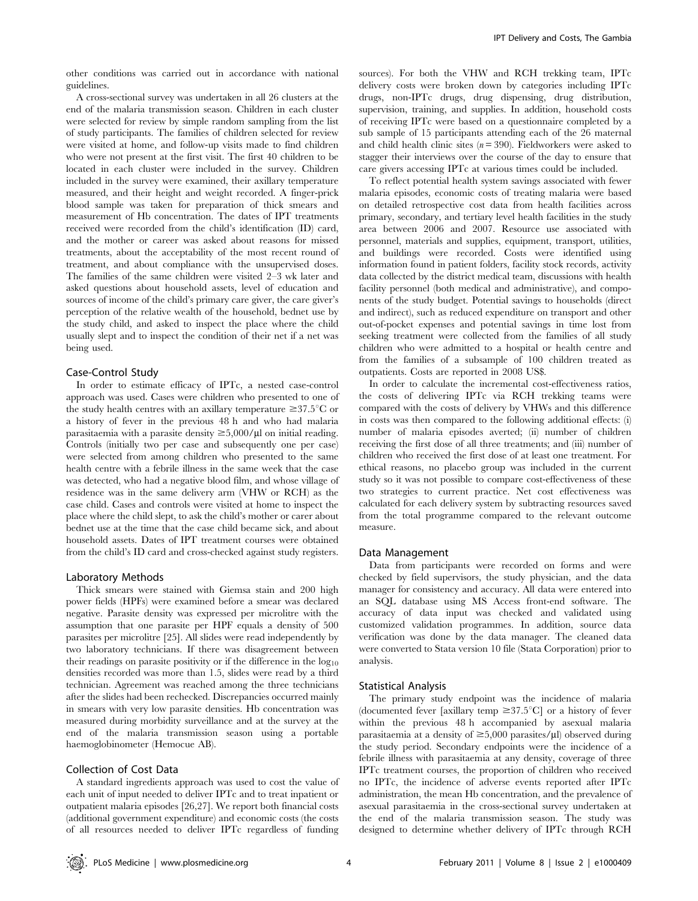other conditions was carried out in accordance with national guidelines.

A cross-sectional survey was undertaken in all 26 clusters at the end of the malaria transmission season. Children in each cluster were selected for review by simple random sampling from the list of study participants. The families of children selected for review were visited at home, and follow-up visits made to find children who were not present at the first visit. The first 40 children to be located in each cluster were included in the survey. Children included in the survey were examined, their axillary temperature measured, and their height and weight recorded. A finger-prick blood sample was taken for preparation of thick smears and measurement of Hb concentration. The dates of IPT treatments received were recorded from the child's identification (ID) card, and the mother or career was asked about reasons for missed treatments, about the acceptability of the most recent round of treatment, and about compliance with the unsupervised doses. The families of the same children were visited 2–3 wk later and asked questions about household assets, level of education and sources of income of the child's primary care giver, the care giver's perception of the relative wealth of the household, bednet use by the study child, and asked to inspect the place where the child usually slept and to inspect the condition of their net if a net was being used.

## Case-Control Study

In order to estimate efficacy of IPTc, a nested case-control approach was used. Cases were children who presented to one of the study health centres with an axillary temperature  $\geq 37.5^{\circ}$ C or a history of fever in the previous 48 h and who had malaria parasitaemia with a parasite density  $\geq 5,000/\mu$ l on initial reading. Controls (initially two per case and subsequently one per case) were selected from among children who presented to the same health centre with a febrile illness in the same week that the case was detected, who had a negative blood film, and whose village of residence was in the same delivery arm (VHW or RCH) as the case child. Cases and controls were visited at home to inspect the place where the child slept, to ask the child's mother or carer about bednet use at the time that the case child became sick, and about household assets. Dates of IPT treatment courses were obtained from the child's ID card and cross-checked against study registers.

## Laboratory Methods

Thick smears were stained with Giemsa stain and 200 high power fields (HPFs) were examined before a smear was declared negative. Parasite density was expressed per microlitre with the assumption that one parasite per HPF equals a density of 500 parasites per microlitre [25]. All slides were read independently by two laboratory technicians. If there was disagreement between their readings on parasite positivity or if the difference in the  $log_{10}$ densities recorded was more than 1.5, slides were read by a third technician. Agreement was reached among the three technicians after the slides had been rechecked. Discrepancies occurred mainly in smears with very low parasite densities. Hb concentration was measured during morbidity surveillance and at the survey at the end of the malaria transmission season using a portable haemoglobinometer (Hemocue AB).

# Collection of Cost Data

A standard ingredients approach was used to cost the value of each unit of input needed to deliver IPTc and to treat inpatient or outpatient malaria episodes [26,27]. We report both financial costs (additional government expenditure) and economic costs (the costs of all resources needed to deliver IPTc regardless of funding sources). For both the VHW and RCH trekking team, IPTc delivery costs were broken down by categories including IPTc drugs, non-IPTc drugs, drug dispensing, drug distribution, supervision, training, and supplies. In addition, household costs of receiving IPTc were based on a questionnaire completed by a sub sample of 15 participants attending each of the 26 maternal and child health clinic sites  $(n = 390)$ . Fieldworkers were asked to stagger their interviews over the course of the day to ensure that care givers accessing IPTc at various times could be included.

To reflect potential health system savings associated with fewer malaria episodes, economic costs of treating malaria were based on detailed retrospective cost data from health facilities across primary, secondary, and tertiary level health facilities in the study area between 2006 and 2007. Resource use associated with personnel, materials and supplies, equipment, transport, utilities, and buildings were recorded. Costs were identified using information found in patient folders, facility stock records, activity data collected by the district medical team, discussions with health facility personnel (both medical and administrative), and components of the study budget. Potential savings to households (direct and indirect), such as reduced expenditure on transport and other out-of-pocket expenses and potential savings in time lost from seeking treatment were collected from the families of all study children who were admitted to a hospital or health centre and from the families of a subsample of 100 children treated as outpatients. Costs are reported in 2008 US\$.

In order to calculate the incremental cost-effectiveness ratios, the costs of delivering IPTc via RCH trekking teams were compared with the costs of delivery by VHWs and this difference in costs was then compared to the following additional effects: (i) number of malaria episodes averted; (ii) number of children receiving the first dose of all three treatments; and (iii) number of children who received the first dose of at least one treatment. For ethical reasons, no placebo group was included in the current study so it was not possible to compare cost-effectiveness of these two strategies to current practice. Net cost effectiveness was calculated for each delivery system by subtracting resources saved from the total programme compared to the relevant outcome measure.

### Data Management

Data from participants were recorded on forms and were checked by field supervisors, the study physician, and the data manager for consistency and accuracy. All data were entered into an SQL database using MS Access front-end software. The accuracy of data input was checked and validated using customized validation programmes. In addition, source data verification was done by the data manager. The cleaned data were converted to Stata version 10 file (Stata Corporation) prior to analysis.

#### Statistical Analysis

The primary study endpoint was the incidence of malaria (documented fever [axillary temp  $\geq 37.5^{\circ}C$ ] or a history of fever within the previous 48 h accompanied by asexual malaria parasitaemia at a density of  $\geq 5,000$  parasites/ $\mu$ l) observed during the study period. Secondary endpoints were the incidence of a febrile illness with parasitaemia at any density, coverage of three IPTc treatment courses, the proportion of children who received no IPTc, the incidence of adverse events reported after IPTc administration, the mean Hb concentration, and the prevalence of asexual parasitaemia in the cross-sectional survey undertaken at the end of the malaria transmission season. The study was designed to determine whether delivery of IPTc through RCH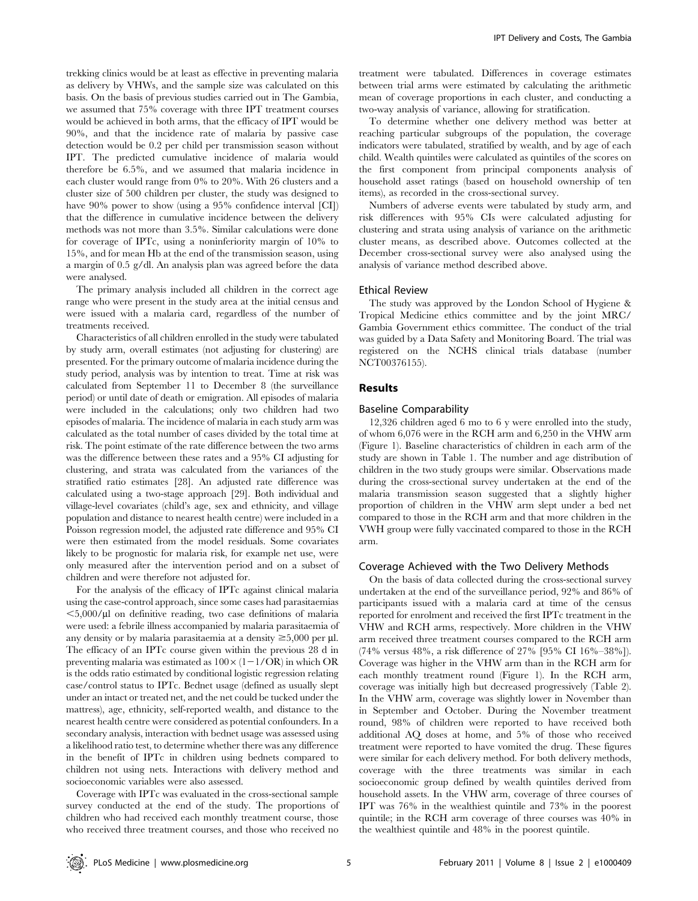trekking clinics would be at least as effective in preventing malaria as delivery by VHWs, and the sample size was calculated on this basis. On the basis of previous studies carried out in The Gambia, we assumed that 75% coverage with three IPT treatment courses would be achieved in both arms, that the efficacy of IPT would be 90%, and that the incidence rate of malaria by passive case detection would be 0.2 per child per transmission season without IPT. The predicted cumulative incidence of malaria would therefore be 6.5%, and we assumed that malaria incidence in each cluster would range from 0% to 20%. With 26 clusters and a cluster size of 500 children per cluster, the study was designed to have 90% power to show (using a 95% confidence interval [CI]) that the difference in cumulative incidence between the delivery methods was not more than 3.5%. Similar calculations were done for coverage of IPTc, using a noninferiority margin of 10% to 15%, and for mean Hb at the end of the transmission season, using a margin of 0.5 g/dl. An analysis plan was agreed before the data were analysed.

The primary analysis included all children in the correct age range who were present in the study area at the initial census and were issued with a malaria card, regardless of the number of treatments received.

Characteristics of all children enrolled in the study were tabulated by study arm, overall estimates (not adjusting for clustering) are presented. For the primary outcome of malaria incidence during the study period, analysis was by intention to treat. Time at risk was calculated from September 11 to December 8 (the surveillance period) or until date of death or emigration. All episodes of malaria were included in the calculations; only two children had two episodes of malaria. The incidence of malaria in each study arm was calculated as the total number of cases divided by the total time at risk. The point estimate of the rate difference between the two arms was the difference between these rates and a 95% CI adjusting for clustering, and strata was calculated from the variances of the stratified ratio estimates [28]. An adjusted rate difference was calculated using a two-stage approach [29]. Both individual and village-level covariates (child's age, sex and ethnicity, and village population and distance to nearest health centre) were included in a Poisson regression model, the adjusted rate difference and 95% CI were then estimated from the model residuals. Some covariates likely to be prognostic for malaria risk, for example net use, were only measured after the intervention period and on a subset of children and were therefore not adjusted for.

For the analysis of the efficacy of IPTc against clinical malaria using the case-control approach, since some cases had parasitaemias  $\leq 5,000/\mu$  on definitive reading, two case definitions of malaria were used: a febrile illness accompanied by malaria parasitaemia of any density or by malaria parasitaemia at a density  $\geq 5,000$  per  $\mu$ l. The efficacy of an IPTc course given within the previous 28 d in preventing malaria was estimated as  $100 \times (1 - 1/\text{OR})$  in which OR is the odds ratio estimated by conditional logistic regression relating case/control status to IPTc. Bednet usage (defined as usually slept under an intact or treated net, and the net could be tucked under the mattress), age, ethnicity, self-reported wealth, and distance to the nearest health centre were considered as potential confounders. In a secondary analysis, interaction with bednet usage was assessed using a likelihood ratio test, to determine whether there was any difference in the benefit of IPTc in children using bednets compared to children not using nets. Interactions with delivery method and socioeconomic variables were also assessed.

Coverage with IPTc was evaluated in the cross-sectional sample survey conducted at the end of the study. The proportions of children who had received each monthly treatment course, those who received three treatment courses, and those who received no

treatment were tabulated. Differences in coverage estimates between trial arms were estimated by calculating the arithmetic mean of coverage proportions in each cluster, and conducting a two-way analysis of variance, allowing for stratification.

To determine whether one delivery method was better at reaching particular subgroups of the population, the coverage indicators were tabulated, stratified by wealth, and by age of each child. Wealth quintiles were calculated as quintiles of the scores on the first component from principal components analysis of household asset ratings (based on household ownership of ten items), as recorded in the cross-sectional survey.

Numbers of adverse events were tabulated by study arm, and risk differences with 95% CIs were calculated adjusting for clustering and strata using analysis of variance on the arithmetic cluster means, as described above. Outcomes collected at the December cross-sectional survey were also analysed using the analysis of variance method described above.

## Ethical Review

The study was approved by the London School of Hygiene & Tropical Medicine ethics committee and by the joint MRC/ Gambia Government ethics committee. The conduct of the trial was guided by a Data Safety and Monitoring Board. The trial was registered on the NCHS clinical trials database (number NCT00376155).

#### Results

#### Baseline Comparability

12,326 children aged 6 mo to 6 y were enrolled into the study, of whom 6,076 were in the RCH arm and 6,250 in the VHW arm (Figure 1). Baseline characteristics of children in each arm of the study are shown in Table 1. The number and age distribution of children in the two study groups were similar. Observations made during the cross-sectional survey undertaken at the end of the malaria transmission season suggested that a slightly higher proportion of children in the VHW arm slept under a bed net compared to those in the RCH arm and that more children in the VWH group were fully vaccinated compared to those in the RCH arm.

#### Coverage Achieved with the Two Delivery Methods

On the basis of data collected during the cross-sectional survey undertaken at the end of the surveillance period, 92% and 86% of participants issued with a malaria card at time of the census reported for enrolment and received the first IPTc treatment in the VHW and RCH arms, respectively. More children in the VHW arm received three treatment courses compared to the RCH arm (74% versus 48%, a risk difference of 27% [95% CI 16%–38%]). Coverage was higher in the VHW arm than in the RCH arm for each monthly treatment round (Figure 1). In the RCH arm, coverage was initially high but decreased progressively (Table 2). In the VHW arm, coverage was slightly lower in November than in September and October. During the November treatment round, 98% of children were reported to have received both additional AQ doses at home, and 5% of those who received treatment were reported to have vomited the drug. These figures were similar for each delivery method. For both delivery methods, coverage with the three treatments was similar in each socioeconomic group defined by wealth quintiles derived from household assets. In the VHW arm, coverage of three courses of IPT was 76% in the wealthiest quintile and 73% in the poorest quintile; in the RCH arm coverage of three courses was 40% in the wealthiest quintile and 48% in the poorest quintile.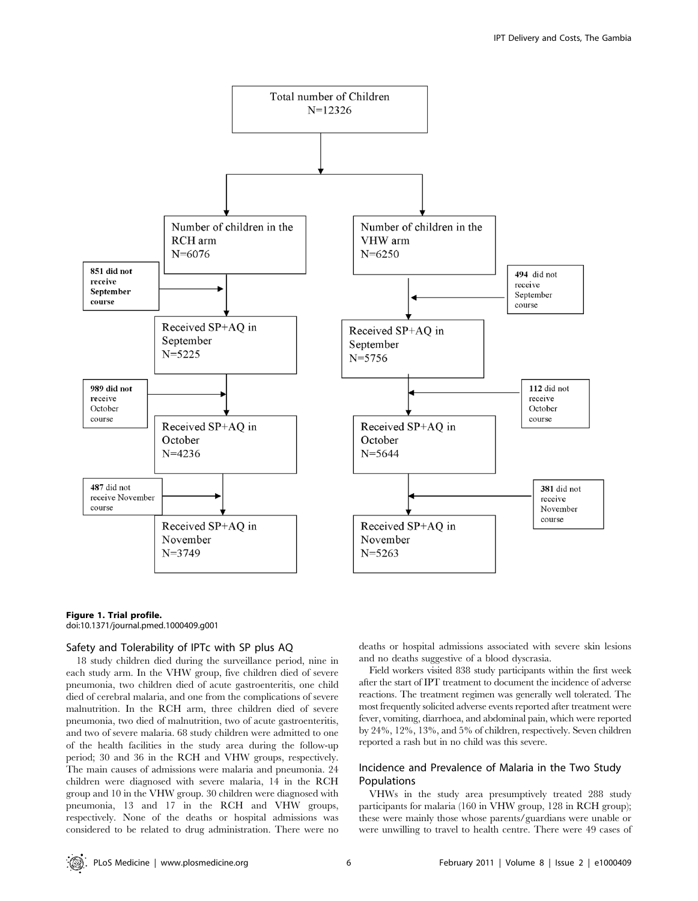

# Figure 1. Trial profile.

doi:10.1371/journal.pmed.1000409.g001

## Safety and Tolerability of IPTc with SP plus AQ

18 study children died during the surveillance period, nine in each study arm. In the VHW group, five children died of severe pneumonia, two children died of acute gastroenteritis, one child died of cerebral malaria, and one from the complications of severe malnutrition. In the RCH arm, three children died of severe pneumonia, two died of malnutrition, two of acute gastroenteritis, and two of severe malaria. 68 study children were admitted to one of the health facilities in the study area during the follow-up period; 30 and 36 in the RCH and VHW groups, respectively. The main causes of admissions were malaria and pneumonia. 24 children were diagnosed with severe malaria, 14 in the RCH group and 10 in the VHW group. 30 children were diagnosed with pneumonia, 13 and 17 in the RCH and VHW groups, respectively. None of the deaths or hospital admissions was considered to be related to drug administration. There were no deaths or hospital admissions associated with severe skin lesions and no deaths suggestive of a blood dyscrasia.

Field workers visited 838 study participants within the first week after the start of IPT treatment to document the incidence of adverse reactions. The treatment regimen was generally well tolerated. The most frequently solicited adverse events reported after treatment were fever, vomiting, diarrhoea, and abdominal pain, which were reported by 24%, 12%, 13%, and 5% of children, respectively. Seven children reported a rash but in no child was this severe.

# Incidence and Prevalence of Malaria in the Two Study Populations

VHWs in the study area presumptively treated 288 study participants for malaria (160 in VHW group, 128 in RCH group); these were mainly those whose parents/guardians were unable or were unwilling to travel to health centre. There were 49 cases of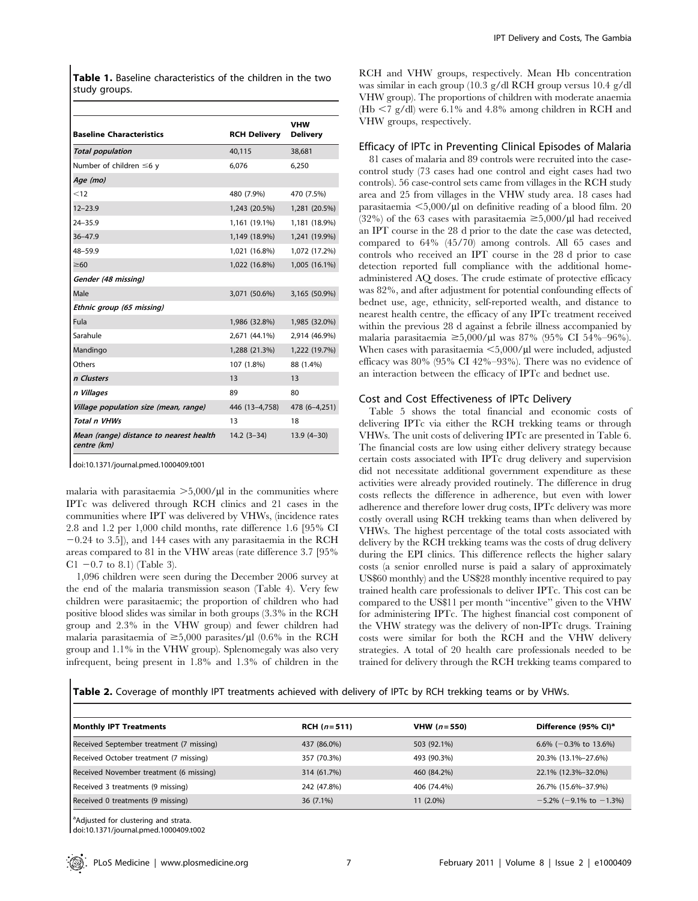Table 1. Baseline characteristics of the children in the two study groups.

| <b>Baseline Characteristics</b>                        | <b>RCH Delivery</b> | <b>VHW</b><br><b>Delivery</b> |
|--------------------------------------------------------|---------------------|-------------------------------|
| <b>Total population</b>                                | 40,115              | 38,681                        |
| Number of children $\leq 6$ y                          | 6,076               | 6,250                         |
| Age (mo)                                               |                     |                               |
| $<$ 12                                                 | 480 (7.9%)          | 470 (7.5%)                    |
| $12 - 23.9$                                            | 1,243 (20.5%)       | 1,281 (20.5%)                 |
| $24 - 35.9$                                            | 1,161 (19.1%)       | 1,181 (18.9%)                 |
| $36 - 47.9$                                            | 1,149 (18.9%)       | 1,241 (19.9%)                 |
| 48-59.9                                                | 1,021 (16.8%)       | 1,072 (17.2%)                 |
| $\geq 60$                                              | 1,022 (16.8%)       | 1,005 (16.1%)                 |
| Gender (48 missing)                                    |                     |                               |
| Male                                                   | 3,071 (50.6%)       | 3,165 (50.9%)                 |
| Ethnic group (65 missing)                              |                     |                               |
| Fula                                                   | 1,986 (32.8%)       | 1,985 (32.0%)                 |
| Sarahule                                               | 2,671 (44.1%)       | 2,914 (46.9%)                 |
| Mandingo                                               | 1,288 (21.3%)       | 1,222 (19.7%)                 |
| Others                                                 | 107 (1.8%)          | 88 (1.4%)                     |
| n Clusters                                             | 13                  | 13                            |
| n Villages                                             | 89                  | 80                            |
| Village population size (mean, range)                  | 446 (13-4,758)      | 478 (6-4,251)                 |
| Total n VHWs                                           | 13                  | 18                            |
| Mean (range) distance to nearest health<br>centre (km) | $14.2(3-34)$        | $13.9(4-30)$                  |

doi:10.1371/journal.pmed.1000409.t001

malaria with parasitaemia  $>5,000/\mu$ l in the communities where IPTc was delivered through RCH clinics and 21 cases in the communities where IPT was delivered by VHWs, (incidence rates 2.8 and 1.2 per 1,000 child months, rate difference 1.6 [95% CI  $-0.24$  to 3.5]), and 144 cases with any parasitaemia in the RCH areas compared to 81 in the VHW areas (rate difference 3.7 [95%  $C1 - 0.7$  to 8.1) (Table 3).

1,096 children were seen during the December 2006 survey at the end of the malaria transmission season (Table 4). Very few children were parasitaemic; the proportion of children who had positive blood slides was similar in both groups (3.3% in the RCH group and 2.3% in the VHW group) and fewer children had malaria parasitaemia of  $\geq 5,000$  parasites/ $\mu$ l (0.6% in the RCH group and 1.1% in the VHW group). Splenomegaly was also very infrequent, being present in 1.8% and 1.3% of children in the

RCH and VHW groups, respectively. Mean Hb concentration was similar in each group (10.3 g/dl RCH group versus 10.4 g/dl VHW group). The proportions of children with moderate anaemia (Hb  $\leq$ 7 g/dl) were 6.1% and 4.8% among children in RCH and VHW groups, respectively.

#### Efficacy of IPTc in Preventing Clinical Episodes of Malaria

81 cases of malaria and 89 controls were recruited into the casecontrol study (73 cases had one control and eight cases had two controls). 56 case-control sets came from villages in the RCH study area and 25 from villages in the VHW study area. 18 cases had parasitaemia  $\leq 5,000/\mu$ l on definitive reading of a blood film. 20 (32%) of the 63 cases with parasitaemia  $\geq 5,000/\mu$ l had received an IPT course in the 28 d prior to the date the case was detected, compared to 64% (45/70) among controls. All 65 cases and controls who received an IPT course in the 28 d prior to case detection reported full compliance with the additional homeadministered AQ doses. The crude estimate of protective efficacy was 82%, and after adjustment for potential confounding effects of bednet use, age, ethnicity, self-reported wealth, and distance to nearest health centre, the efficacy of any IPTc treatment received within the previous 28 d against a febrile illness accompanied by malaria parasitaemia  $\geq 5,000/\mu$ l was 87% (95% CI 54%–96%). When cases with parasitaemia  $\leq 5,000/\mu$ l were included, adjusted efficacy was 80% (95% CI 42%–93%). There was no evidence of an interaction between the efficacy of IPTc and bednet use.

## Cost and Cost Effectiveness of IPTc Delivery

Table 5 shows the total financial and economic costs of delivering IPTc via either the RCH trekking teams or through VHWs. The unit costs of delivering IPTc are presented in Table 6. The financial costs are low using either delivery strategy because certain costs associated with IPTc drug delivery and supervision did not necessitate additional government expenditure as these activities were already provided routinely. The difference in drug costs reflects the difference in adherence, but even with lower adherence and therefore lower drug costs, IPTc delivery was more costly overall using RCH trekking teams than when delivered by VHWs. The highest percentage of the total costs associated with delivery by the RCH trekking teams was the costs of drug delivery during the EPI clinics. This difference reflects the higher salary costs (a senior enrolled nurse is paid a salary of approximately US\$60 monthly) and the US\$28 monthly incentive required to pay trained health care professionals to deliver IPTc. This cost can be compared to the US\$11 per month ''incentive'' given to the VHW for administering IPTc. The highest financial cost component of the VHW strategy was the delivery of non-IPTc drugs. Training costs were similar for both the RCH and the VHW delivery strategies. A total of 20 health care professionals needed to be trained for delivery through the RCH trekking teams compared to

Table 2. Coverage of monthly IPT treatments achieved with delivery of IPTc by RCH trekking teams or by VHWs.

| <b>Monthly IPT Treatments</b>            | $RCH (n=511)$ | <b>VHW</b> $(n = 550)$ | Difference (95% CI) <sup>a</sup> |
|------------------------------------------|---------------|------------------------|----------------------------------|
| Received September treatment (7 missing) | 437 (86.0%)   | 503 (92.1%)            | 6.6% ( $-0.3\%$ to 13.6%)        |
| Received October treatment (7 missing)   | 357 (70.3%)   | 493 (90.3%)            | 20.3% (13.1%-27.6%)              |
| Received November treatment (6 missing)  | 314 (61.7%)   | 460 (84.2%)            | 22.1% (12.3%-32.0%)              |
| Received 3 treatments (9 missing)        | 242 (47.8%)   | 406 (74.4%)            | 26.7% (15.6%-37.9%)              |
| Received 0 treatments (9 missing)        | $36(7.1\%)$   | $11(2.0\%)$            | $-5.2\%$ (-9.1% to -1.3%)        |

<sup>a</sup>Adjusted for clustering and strata.

doi:10.1371/journal.pmed.1000409.t002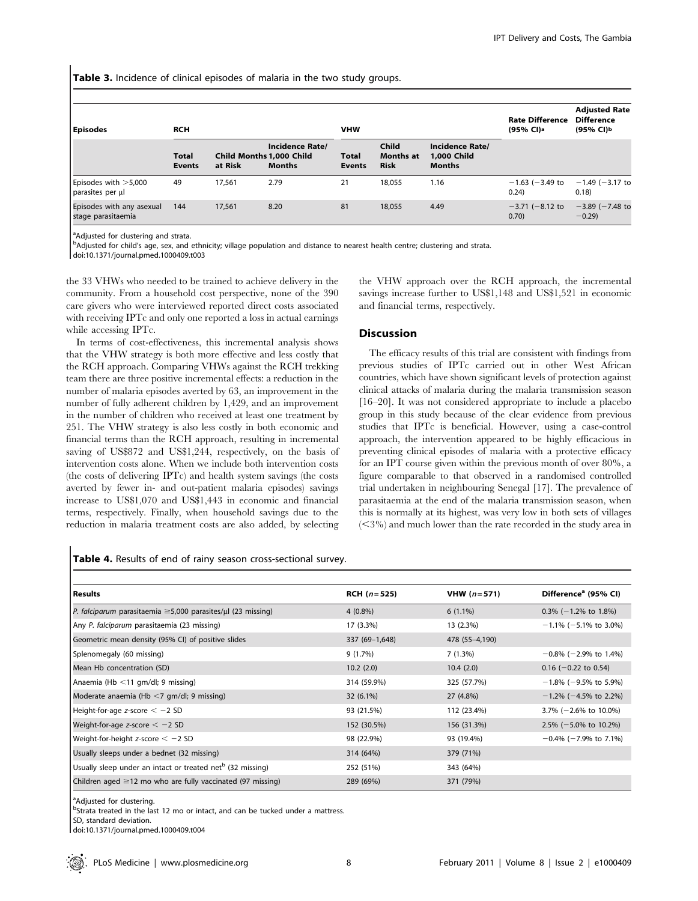Table 3. Incidence of clinical episodes of malaria in the two study groups.

| <b>Episodes</b>                                 | <b>RCH</b>                    |                                     |                                         | <b>VHW</b>             |                                                 |                                                               | <b>Rate Difference</b><br>(95% CI)a | <b>Adjusted Rate</b><br><b>Difference</b><br>(95% CI)ь |
|-------------------------------------------------|-------------------------------|-------------------------------------|-----------------------------------------|------------------------|-------------------------------------------------|---------------------------------------------------------------|-------------------------------------|--------------------------------------------------------|
|                                                 | <b>Total</b><br><b>Events</b> | Child Months 1,000 Child<br>at Risk | <b>Incidence Rate/</b><br><b>Months</b> | Total<br><b>Events</b> | <b>Child</b><br><b>Months at</b><br><b>Risk</b> | <b>Incidence Rate/</b><br><b>1,000 Child</b><br><b>Months</b> |                                     |                                                        |
| Episodes with $>5,000$<br>parasites per ul      | 49                            | 17.561                              | 2.79                                    | 21                     | 18.055                                          | 1.16                                                          | $-1.63$ ( $-3.49$ to<br>0.24)       | $-1.49$ ( $-3.17$ to<br>0.18                           |
| Episodes with any asexual<br>stage parasitaemia | 144                           | 17,561                              | 8.20                                    | 81                     | 18,055                                          | 4.49                                                          | $-3.71$ (-8.12 to<br>0.70           | $-3.89$ ( $-7.48$ to<br>$-0.29$                        |

<sup>a</sup>Adjusted for clustering and strata.

bAdjusted for child's age, sex, and ethnicity; village population and distance to nearest health centre; clustering and strata.

doi:10.1371/journal.pmed.1000409.t003

the 33 VHWs who needed to be trained to achieve delivery in the community. From a household cost perspective, none of the 390 care givers who were interviewed reported direct costs associated with receiving IPTc and only one reported a loss in actual earnings while accessing IPTc.

In terms of cost-effectiveness, this incremental analysis shows that the VHW strategy is both more effective and less costly that the RCH approach. Comparing VHWs against the RCH trekking team there are three positive incremental effects: a reduction in the number of malaria episodes averted by 63, an improvement in the number of fully adherent children by 1,429, and an improvement in the number of children who received at least one treatment by 251. The VHW strategy is also less costly in both economic and financial terms than the RCH approach, resulting in incremental saving of US\$872 and US\$1,244, respectively, on the basis of intervention costs alone. When we include both intervention costs (the costs of delivering IPTc) and health system savings (the costs averted by fewer in- and out-patient malaria episodes) savings increase to US\$1,070 and US\$1,443 in economic and financial terms, respectively. Finally, when household savings due to the reduction in malaria treatment costs are also added, by selecting

the VHW approach over the RCH approach, the incremental savings increase further to US\$1,148 and US\$1,521 in economic and financial terms, respectively.

## **Discussion**

The efficacy results of this trial are consistent with findings from previous studies of IPTc carried out in other West African countries, which have shown significant levels of protection against clinical attacks of malaria during the malaria transmission season [16–20]. It was not considered appropriate to include a placebo group in this study because of the clear evidence from previous studies that IPTc is beneficial. However, using a case-control approach, the intervention appeared to be highly efficacious in preventing clinical episodes of malaria with a protective efficacy for an IPT course given within the previous month of over 80%, a figure comparable to that observed in a randomised controlled trial undertaken in neighbouring Senegal [17]. The prevalence of parasitaemia at the end of the malaria transmission season, when this is normally at its highest, was very low in both sets of villages  $(< 3\%)$  and much lower than the rate recorded in the study area in

Table 4. Results of end of rainy season cross-sectional survey.

| Results                                                                  | $RCH (n=525)$  | <b>VHW</b> $(n=571)$ | Difference <sup>a</sup> (95% CI) |
|--------------------------------------------------------------------------|----------------|----------------------|----------------------------------|
| <i>P. falciparum</i> parasitaemia $\geq$ 5,000 parasites/µl (23 missing) | $4(0.8\%)$     | $6(1.1\%)$           | $0.3\%$ (-1.2% to 1.8%)          |
| Any P. falciparum parasitaemia (23 missing)                              | 17 (3.3%)      | 13 (2.3%)            | $-1.1\%$ (-5.1% to 3.0%)         |
| Geometric mean density (95% CI) of positive slides                       | 337 (69-1,648) | 478 (55-4,190)       |                                  |
| Splenomegaly (60 missing)                                                | 9(1.7%)        | 7(1.3%)              | $-0.8\%$ ( $-2.9\%$ to 1.4%)     |
| Mean Hb concentration (SD)                                               | 10.2(2.0)      | 10.4(2.0)            | $0.16$ (-0.22 to 0.54)           |
| Anaemia (Hb <11 gm/dl; 9 missing)                                        | 314 (59.9%)    | 325 (57.7%)          | $-1.8\%$ ( $-9.5\%$ to 5.9%)     |
| Moderate anaemia (Hb $\leq$ 7 gm/dl; 9 missing)                          | $32(6.1\%)$    | 27 (4.8%)            | $-1.2\%$ ( $-4.5\%$ to 2.2%)     |
| Height-for-age z-score $<-2$ SD                                          | 93 (21.5%)     | 112 (23.4%)          | 3.7% ( $-2.6\%$ to 10.0%)        |
| Weight-for-age z-score $<-2$ SD                                          | 152 (30.5%)    | 156 (31.3%)          | $2.5\%$ (-5.0% to 10.2%)         |
| Weight-for-height z-score $< -2$ SD                                      | 98 (22.9%)     | 93 (19.4%)           | $-0.4\%$ ( $-7.9\%$ to 7.1%)     |
| Usually sleeps under a bednet (32 missing)                               | 314 (64%)      | 379 (71%)            |                                  |
| Usually sleep under an intact or treated net <sup>b</sup> (32 missing)   | 252 (51%)      | 343 (64%)            |                                  |
| Children aged $\geq$ 12 mo who are fully vaccinated (97 missing)         | 289 (69%)      | 371 (79%)            |                                  |

<sup>a</sup>Adjusted for clustering.

<sup>b</sup>Strata treated in the last 12 mo or intact, and can be tucked under a mattress.

SD, standard deviation.

doi:10.1371/journal.pmed.1000409.t004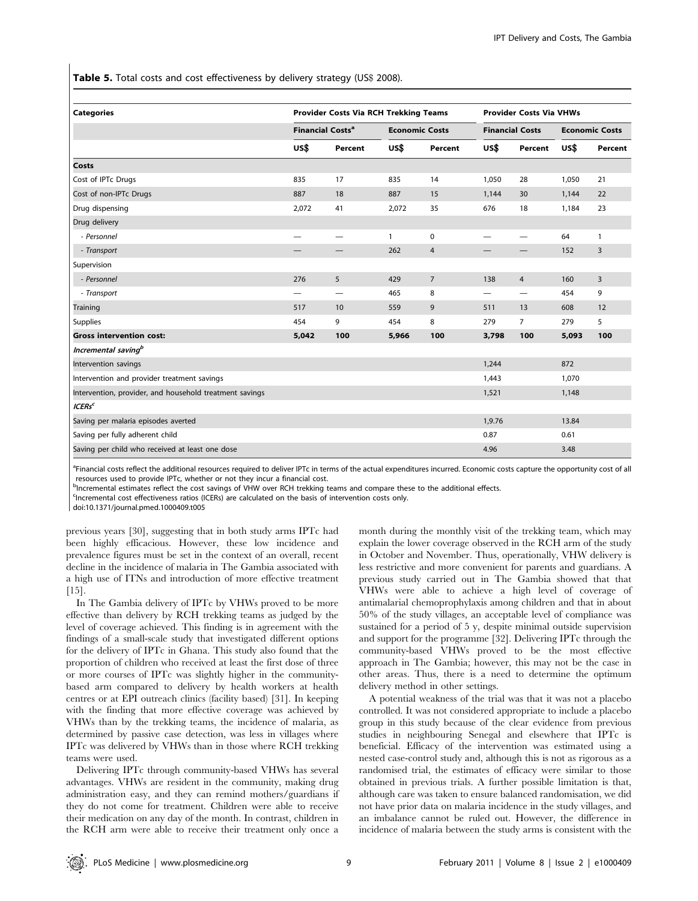Table 5. Total costs and cost effectiveness by delivery strategy (US\$ 2008).

| <b>Categories</b>                                       |                                    | Provider Costs Via RCH Trekking Teams |              |                       |                          | <b>Provider Costs Via VHWs</b> |       |                       |
|---------------------------------------------------------|------------------------------------|---------------------------------------|--------------|-----------------------|--------------------------|--------------------------------|-------|-----------------------|
|                                                         | <b>Financial Costs<sup>a</sup></b> |                                       |              | <b>Economic Costs</b> |                          | <b>Financial Costs</b>         |       | <b>Economic Costs</b> |
|                                                         | US\$                               | Percent                               | US\$         | Percent               | US\$                     | Percent                        | US\$  | Percent               |
| Costs                                                   |                                    |                                       |              |                       |                          |                                |       |                       |
| Cost of IPTc Drugs                                      | 835                                | 17                                    | 835          | 14                    | 1,050                    | 28                             | 1,050 | 21                    |
| Cost of non-IPTc Drugs                                  | 887                                | 18                                    | 887          | 15                    | 1,144                    | 30                             | 1,144 | 22                    |
| Drug dispensing                                         | 2,072                              | 41                                    | 2,072        | 35                    | 676                      | 18                             | 1,184 | 23                    |
| Drug delivery                                           |                                    |                                       |              |                       |                          |                                |       |                       |
| - Personnel                                             |                                    |                                       | $\mathbf{1}$ | 0                     | $\overline{\phantom{0}}$ |                                | 64    | $\mathbf{1}$          |
| - Transport                                             |                                    |                                       | 262          | $\overline{4}$        |                          |                                | 152   | 3                     |
| Supervision                                             |                                    |                                       |              |                       |                          |                                |       |                       |
| - Personnel                                             | 276                                | 5                                     | 429          | $\overline{7}$        | 138                      | $\overline{4}$                 | 160   | 3                     |
| - Transport                                             |                                    | $\overline{\phantom{m}}$              | 465          | 8                     |                          |                                | 454   | 9                     |
| Training                                                | 517                                | 10                                    | 559          | 9                     | 511                      | 13                             | 608   | 12                    |
| Supplies                                                | 454                                | 9                                     | 454          | 8                     | 279                      | $\overline{7}$                 | 279   | 5                     |
| <b>Gross intervention cost:</b>                         | 5,042                              | 100                                   | 5,966        | 100                   | 3,798                    | 100                            | 5,093 | 100                   |
| Incremental saving <sup>b</sup>                         |                                    |                                       |              |                       |                          |                                |       |                       |
| Intervention savings                                    |                                    |                                       |              |                       | 1,244                    |                                | 872   |                       |
| Intervention and provider treatment savings             |                                    |                                       |              |                       | 1,443                    |                                | 1,070 |                       |
| Intervention, provider, and household treatment savings |                                    |                                       |              |                       | 1,521                    |                                | 1,148 |                       |
| <b>ICERs<sup>c</sup></b>                                |                                    |                                       |              |                       |                          |                                |       |                       |
| Saving per malaria episodes averted                     |                                    |                                       |              |                       | 1,9.76                   |                                | 13.84 |                       |
| Saving per fully adherent child                         |                                    |                                       |              |                       | 0.87                     |                                | 0.61  |                       |
| Saving per child who received at least one dose         |                                    |                                       |              |                       | 4.96                     |                                | 3.48  |                       |

<sup>a</sup>Financial costs reflect the additional resources required to deliver IPTc in terms of the actual expenditures incurred. Economic costs capture the opportunity cost of all resources used to provide IPTc, whether or not they incur a financial cost.

<sup>b</sup>Incremental estimates reflect the cost savings of VHW over RCH trekking teams and compare these to the additional effects.

<sup>c</sup>Incremental cost effectiveness ratios (ICERs) are calculated on the basis of intervention costs only.

doi:10.1371/journal.pmed.1000409.t005

previous years [30], suggesting that in both study arms IPTc had been highly efficacious. However, these low incidence and prevalence figures must be set in the context of an overall, recent decline in the incidence of malaria in The Gambia associated with a high use of ITNs and introduction of more effective treatment  $[15]$ .

In The Gambia delivery of IPTc by VHWs proved to be more effective than delivery by RCH trekking teams as judged by the level of coverage achieved. This finding is in agreement with the findings of a small-scale study that investigated different options for the delivery of IPTc in Ghana. This study also found that the proportion of children who received at least the first dose of three or more courses of IPTc was slightly higher in the communitybased arm compared to delivery by health workers at health centres or at EPI outreach clinics (facility based) [31]. In keeping with the finding that more effective coverage was achieved by VHWs than by the trekking teams, the incidence of malaria, as determined by passive case detection, was less in villages where IPTc was delivered by VHWs than in those where RCH trekking teams were used.

Delivering IPTc through community-based VHWs has several advantages. VHWs are resident in the community, making drug administration easy, and they can remind mothers/guardians if they do not come for treatment. Children were able to receive their medication on any day of the month. In contrast, children in the RCH arm were able to receive their treatment only once a month during the monthly visit of the trekking team, which may explain the lower coverage observed in the RCH arm of the study in October and November. Thus, operationally, VHW delivery is less restrictive and more convenient for parents and guardians. A previous study carried out in The Gambia showed that that VHWs were able to achieve a high level of coverage of antimalarial chemoprophylaxis among children and that in about 50% of the study villages, an acceptable level of compliance was sustained for a period of 5 y, despite minimal outside supervision and support for the programme [32]. Delivering IPTc through the community-based VHWs proved to be the most effective approach in The Gambia; however, this may not be the case in other areas. Thus, there is a need to determine the optimum delivery method in other settings.

A potential weakness of the trial was that it was not a placebo controlled. It was not considered appropriate to include a placebo group in this study because of the clear evidence from previous studies in neighbouring Senegal and elsewhere that IPTc is beneficial. Efficacy of the intervention was estimated using a nested case-control study and, although this is not as rigorous as a randomised trial, the estimates of efficacy were similar to those obtained in previous trials. A further possible limitation is that, although care was taken to ensure balanced randomisation, we did not have prior data on malaria incidence in the study villages, and an imbalance cannot be ruled out. However, the difference in incidence of malaria between the study arms is consistent with the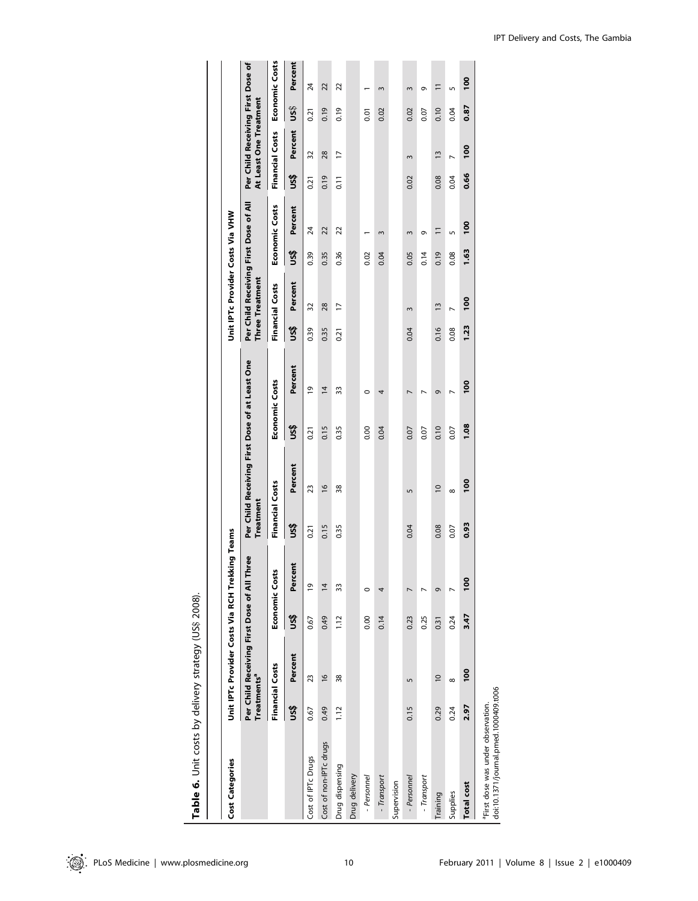Table 6. Unit costs by delivery strategy (US\$ 2008). **Table 6.** Unit costs by delivery strategy (US\$ 2008).

| Cost Categories                                                                         |                         | Unit IPTc Provider Costs Via RCH Trekki     |      | ing Teams        |                        |                                                |                |                  |      | Unit IPTc Provider Costs Via VHW                                |      |                |      |                                                             |      |                  |
|-----------------------------------------------------------------------------------------|-------------------------|---------------------------------------------|------|------------------|------------------------|------------------------------------------------|----------------|------------------|------|-----------------------------------------------------------------|------|----------------|------|-------------------------------------------------------------|------|------------------|
|                                                                                         | Treatments <sup>a</sup> | Per Child Receiving First Dose of All Three |      |                  | <b>Treatment</b>       | Per Child Receiving First Dose of at Least One |                |                  |      | Per Child Receiving First Dose of All<br><b>Three Treatment</b> |      |                |      | Per Child Receiving First Dose of<br>At Least One Treatment |      |                  |
|                                                                                         |                         | <b>Financial Costs</b>                      |      | Economic Costs   | <b>Financial Costs</b> |                                                | Economic Costs |                  |      | <b>Financial Costs</b>                                          |      | Economic Costs |      | <b>Financial Costs</b>                                      |      | Economic Costs   |
|                                                                                         | ່ງຂຶ້ນ                  | Percent                                     | US\$ | Percent          | s\$                    | Percent                                        | ςsρ            | Percent          | ςsρ  | Percent                                                         | \$sn | Percent        | งรุง | Percent                                                     | \$\$ | Percent          |
| Cost of IPTc Drugs                                                                      | 0.67                    | 23                                          | 0.67 | ō,               | 0.21                   | 23                                             | 0.21           | $\overline{0}$   | 0.39 | 32                                                              | 0.39 | 24             | 0.21 | 32                                                          | 0.21 | 24               |
| Cost of non-IPTc drugs                                                                  | 0.49                    | $\frac{8}{1}$                               | 0.49 | $\overline{4}$   | 0.15                   | $\frac{8}{1}$                                  | 0.15           | $\overline{1}$   | 0.35 | 28                                                              | 0.35 | 22             | 0.19 | 28                                                          | 0.19 | 22               |
| Drug dispensing                                                                         | 1.12                    | 38                                          | 1.12 | 33               | 0.35                   | 38                                             | 0.35           | 33               | 0.21 | $\overline{1}$                                                  | 0.36 | 22             | 0.11 | $\overline{1}$                                              | 0.19 | 22               |
| Drug delivery                                                                           |                         |                                             |      |                  |                        |                                                |                |                  |      |                                                                 |      |                |      |                                                             |      |                  |
| - Personnel                                                                             |                         |                                             | 0.00 | $\circ$          |                        |                                                | 0.00           | $\circ$          |      |                                                                 | 0.02 |                |      |                                                             | 0.01 |                  |
| - Transport                                                                             |                         |                                             | 0.14 | 4                |                        |                                                | 0.04           | 4                |      |                                                                 | 0.04 | $\mathsf{S}$   |      |                                                             | 0.02 | 3                |
| Supervision                                                                             |                         |                                             |      |                  |                        |                                                |                |                  |      |                                                                 |      |                |      |                                                             |      |                  |
| - Personnel                                                                             | 0.15                    | 5                                           | 0.23 | $\overline{ }$   | 0.04                   | 5                                              | 0.07           | $\overline{ }$   | 0.04 | $\mathsf{S}$                                                    | 0.05 | $\mathsf{S}$   | 0.02 | $\mathsf{S}$                                                | 0.02 | $\mathsf{S}$     |
| - Transport                                                                             |                         |                                             | 0.25 | ↖                |                        |                                                | 0.07           | $\overline{ }$   |      |                                                                 | 0.14 | G              |      |                                                             | 0.07 | G                |
| Training                                                                                | 0.29                    | $\approx$                                   | 0.31 | Q                | 0.08                   | $\overline{0}$                                 | 0.10           | ō                | 0.16 | $\frac{3}{2}$                                                   | 0.19 | $\Xi$          | 0.08 | $\tilde{1}$                                                 | 0.10 | Ξ                |
| Supplies                                                                                | 0.24                    | $\infty$                                    | 0.24 | $\overline{ }$   | 0.07                   | $^{\circ}$                                     | 0.07           | $\overline{ }$   | 0.08 | $\overline{ }$                                                  | 0.08 | 5              | 0.04 | $\overline{ }$                                              | 0.04 | $\sqrt{2}$       |
| <b>Total cost</b>                                                                       | 2.97                    | 100                                         | 3.47 | $\overline{100}$ | 0.93                   | <b>POL</b>                                     | 1.08           | $\overline{100}$ | 1.23 | $\overline{100}$                                                | 1.63 | <b>POL</b>     | 0.66 | $\overline{100}$                                            | 0.87 | $\overline{100}$ |
| doi:10.1371/journal.pmed.1000409.t006<br><sup>a</sup> First dose was under observation. |                         |                                             |      |                  |                        |                                                |                |                  |      |                                                                 |      |                |      |                                                             |      |                  |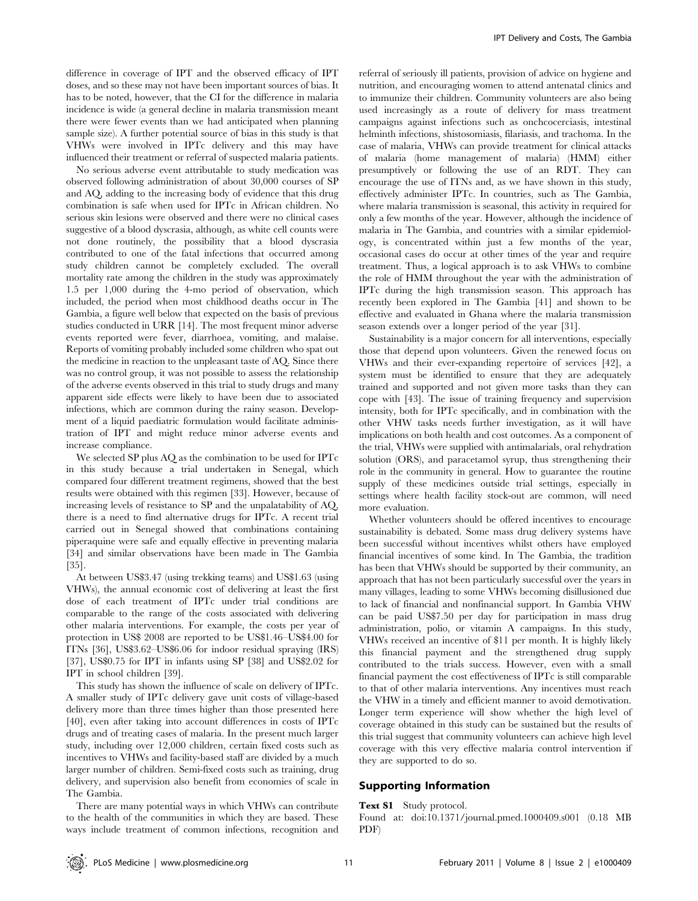difference in coverage of IPT and the observed efficacy of IPT doses, and so these may not have been important sources of bias. It has to be noted, however, that the CI for the difference in malaria incidence is wide (a general decline in malaria transmission meant there were fewer events than we had anticipated when planning sample size). A further potential source of bias in this study is that VHWs were involved in IPTc delivery and this may have influenced their treatment or referral of suspected malaria patients.

No serious adverse event attributable to study medication was observed following administration of about 30,000 courses of SP and AQ, adding to the increasing body of evidence that this drug combination is safe when used for IPTc in African children. No serious skin lesions were observed and there were no clinical cases suggestive of a blood dyscrasia, although, as white cell counts were not done routinely, the possibility that a blood dyscrasia contributed to one of the fatal infections that occurred among study children cannot be completely excluded. The overall mortality rate among the children in the study was approximately 1.5 per 1,000 during the 4-mo period of observation, which included, the period when most childhood deaths occur in The Gambia, a figure well below that expected on the basis of previous studies conducted in URR [14]. The most frequent minor adverse events reported were fever, diarrhoea, vomiting, and malaise. Reports of vomiting probably included some children who spat out the medicine in reaction to the unpleasant taste of AQ. Since there was no control group, it was not possible to assess the relationship of the adverse events observed in this trial to study drugs and many apparent side effects were likely to have been due to associated infections, which are common during the rainy season. Development of a liquid paediatric formulation would facilitate administration of IPT and might reduce minor adverse events and increase compliance.

We selected SP plus AQ as the combination to be used for IPTc in this study because a trial undertaken in Senegal, which compared four different treatment regimens, showed that the best results were obtained with this regimen [33]. However, because of increasing levels of resistance to SP and the unpalatability of AQ, there is a need to find alternative drugs for IPTc. A recent trial carried out in Senegal showed that combinations containing piperaquine were safe and equally effective in preventing malaria [34] and similar observations have been made in The Gambia [35].

At between US\$3.47 (using trekking teams) and US\$1.63 (using VHWs), the annual economic cost of delivering at least the first dose of each treatment of IPTc under trial conditions are comparable to the range of the costs associated with delivering other malaria interventions. For example, the costs per year of protection in US\$ 2008 are reported to be US\$1.46–US\$4.00 for ITNs [36], US\$3.62–US\$6.06 for indoor residual spraying (IRS) [37], US\$0.75 for IPT in infants using SP [38] and US\$2.02 for IPT in school children [39].

This study has shown the influence of scale on delivery of IPTc. A smaller study of IPTc delivery gave unit costs of village-based delivery more than three times higher than those presented here [40], even after taking into account differences in costs of IPTc drugs and of treating cases of malaria. In the present much larger study, including over 12,000 children, certain fixed costs such as incentives to VHWs and facility-based staff are divided by a much larger number of children. Semi-fixed costs such as training, drug delivery, and supervision also benefit from economies of scale in The Gambia.

There are many potential ways in which VHWs can contribute to the health of the communities in which they are based. These ways include treatment of common infections, recognition and referral of seriously ill patients, provision of advice on hygiene and nutrition, and encouraging women to attend antenatal clinics and to immunize their children. Community volunteers are also being used increasingly as a route of delivery for mass treatment campaigns against infections such as onchcocerciasis, intestinal helminth infections, shistosomiasis, filariasis, and trachoma. In the case of malaria, VHWs can provide treatment for clinical attacks of malaria (home management of malaria) (HMM) either presumptively or following the use of an RDT. They can encourage the use of ITNs and, as we have shown in this study, effectively administer IPTc. In countries, such as The Gambia, where malaria transmission is seasonal, this activity in required for only a few months of the year. However, although the incidence of malaria in The Gambia, and countries with a similar epidemiology, is concentrated within just a few months of the year, occasional cases do occur at other times of the year and require treatment. Thus, a logical approach is to ask VHWs to combine the role of HMM throughout the year with the administration of IPTc during the high transmission season. This approach has recently been explored in The Gambia [41] and shown to be effective and evaluated in Ghana where the malaria transmission season extends over a longer period of the year [31].

Sustainability is a major concern for all interventions, especially those that depend upon volunteers. Given the renewed focus on VHWs and their ever-expanding repertoire of services [42], a system must be identified to ensure that they are adequately trained and supported and not given more tasks than they can cope with [43]. The issue of training frequency and supervision intensity, both for IPTc specifically, and in combination with the other VHW tasks needs further investigation, as it will have implications on both health and cost outcomes. As a component of the trial, VHWs were supplied with antimalarials, oral rehydration solution (ORS), and paracetamol syrup, thus strengthening their role in the community in general. How to guarantee the routine supply of these medicines outside trial settings, especially in settings where health facility stock-out are common, will need more evaluation.

Whether volunteers should be offered incentives to encourage sustainability is debated. Some mass drug delivery systems have been successful without incentives whilst others have employed financial incentives of some kind. In The Gambia, the tradition has been that VHWs should be supported by their community, an approach that has not been particularly successful over the years in many villages, leading to some VHWs becoming disillusioned due to lack of financial and nonfinancial support. In Gambia VHW can be paid US\$7.50 per day for participation in mass drug administration, polio, or vitamin A campaigns. In this study, VHWs received an incentive of \$11 per month. It is highly likely this financial payment and the strengthened drug supply contributed to the trials success. However, even with a small financial payment the cost effectiveness of IPTc is still comparable to that of other malaria interventions. Any incentives must reach the VHW in a timely and efficient manner to avoid demotivation. Longer term experience will show whether the high level of coverage obtained in this study can be sustained but the results of this trial suggest that community volunteers can achieve high level coverage with this very effective malaria control intervention if they are supported to do so.

# Supporting Information

# Text S1 Study protocol.

Found at: doi:10.1371/journal.pmed.1000409.s001 (0.18 MB PDF)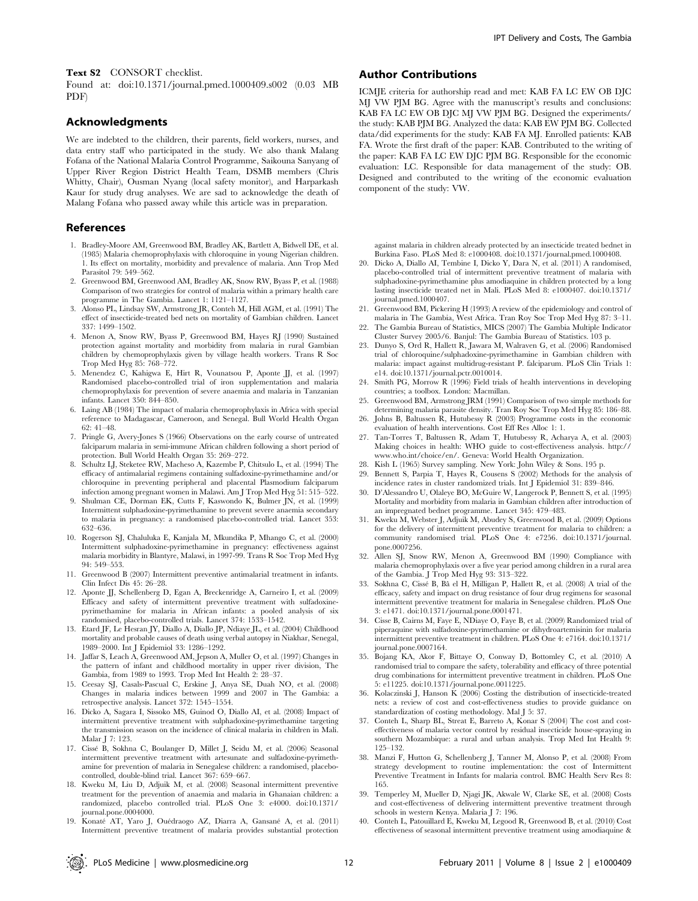#### Text S<sub>2</sub> CONSORT checklist.

Found at: doi:10.1371/journal.pmed.1000409.s002 (0.03 MB PDF)

#### Acknowledgments

We are indebted to the children, their parents, field workers, nurses, and data entry staff who participated in the study. We also thank Malang Fofana of the National Malaria Control Programme, Saikouna Sanyang of Upper River Region District Health Team, DSMB members (Chris Whitty, Chair), Ousman Nyang (local safety monitor), and Harparkash Kaur for study drug analyses. We are sad to acknowledge the death of Malang Fofana who passed away while this article was in preparation.

## References

- 1. Bradley-Moore AM, Greenwood BM, Bradley AK, Bartlett A, Bidwell DE, et al. (1985) Malaria chemoprophylaxis with chloroquine in young Nigerian children. 1. Its effect on mortality, morbidity and prevalence of malaria. Ann Trop Med Parasitol 79: 549–562.
- 2. Greenwood BM, Greenwood AM, Bradley AK, Snow RW, Byass P, et al. (1988) Comparison of two strategies for control of malaria within a primary health care programme in The Gambia. Lancet 1: 1121–1127.
- 3. Alonso PL, Lindsay SW, Armstrong JR, Conteh M, Hill AGM, et al. (1991) The effect of insecticide-treated bed nets on mortality of Gambian children. Lancet 337: 1499–1502.
- 4. Menon A, Snow RW, Byass P, Greenwood BM, Hayes RJ (1990) Sustained protection against mortality and morbidity from malaria in rural Gambian children by chemoprophylaxis given by village health workers. Trans R Soc Trop Med Hyg 85: 768–772.
- 5. Menendez C, Kahigwa E, Hirt R, Vounatsou P, Aponte JJ, et al. (1997) Randomised placebo-controlled trial of iron supplementation and malaria chemoprophylaxis for prevention of severe anaemia and malaria in Tanzanian infants. Lancet 350: 844–850.
- 6. Laing AB (1984) The impact of malaria chemoprophylaxis in Africa with special reference to Madagascar, Cameroon, and Senegal. Bull World Health Organ  $62 \cdot 41 - 48$
- 7. Pringle G, Avery-Jones S (1966) Observations on the early course of untreated falciparum malaria in semi-immune African children following a short period of protection. Bull World Health Organ 35: 269–272.
- 8. Schultz LJ, Steketee RW, Macheso A, Kazembe P, Chitsulo L, et al. (1994) The efficacy of antimalarial regimens containing sulfadoxine-pyrimethamine and/or chloroquine in preventing peripheral and placental Plasmodium falciparum infection among pregnant women in Malawi. Am J Trop Med Hyg 51: 515–522.
- 9. Shulman CE, Dorman EK, Cutts F, Kaswondo K, Bulmer JN, et al. (1999) Intermittent sulphadoxine-pyrimethamine to prevent severe anaemia secondary to malaria in pregnancy: a randomised placebo-controlled trial. Lancet 353: 632–636.
- 10. Rogerson SJ, Chaluluka E, Kanjala M, Mkundika P, Mhango C, et al. (2000) Intermittent sulphadoxine-pyrimethamine in pregnancy: effectiveness against malaria morbidity in Blantyre, Malawi, in 1997-99. Trans R Soc Trop Med Hyg 94: 549–553.
- 11. Greenwood B (2007) Intermittent preventive antimalarial treatment in infants. Clin Infect Dis 45: 26–28.
- 12. Aponte JJ, Schellenberg D, Egan A, Breckenridge A, Carneiro I, et al. (2009) Efficacy and safety of intermittent preventive treatment with sulfadoxinepyrimethamine for malaria in African infants: a pooled analysis of six randomised, placebo-controlled trials. Lancet 374: 1533–1542.
- 13. Etard JF, Le Hesran JY, Diallo A, Diallo JP, Ndiaye JL, et al. (2004) Childhood mortality and probable causes of death using verbal autopsy in Niakhar, Senegal, 1989–2000. Int J Epidemiol 33: 1286–1292.
- 14. Jaffar S, Leach A, Greenwood AM, Jepson A, Muller O, et al. (1997) Changes in the pattern of infant and childhood mortality in upper river division, The Gambia, from 1989 to 1993. Trop Med Int Health 2: 28–37.
- 15. Ceesay SJ, Casals-Pascual C, Erskine J, Anya SE, Duah NO, et al. (2008) Changes in malaria indices between 1999 and 2007 in The Gambia: a retrospective analysis. Lancet 372: 1545–1554.
- 16. Dicko A, Sagara I, Sissoko MS, Guinod O, Diallo AI, et al. (2008) Impact of intermittent preventive treatment with sulphadoxine-pyrimethamine targeting the transmission season on the incidence of clinical malaria in children in Mali. Malar J 7: 123.
- 17. Cisse´ B, Sokhna C, Boulanger D, Millet J, Seidu M, et al. (2006) Seasonal intermittent preventive treatment with artesunate and sulfadoxine-pyrimethamine for prevention of malaria in Senegalese children: a randomised, placebocontrolled, double-blind trial. Lancet 367: 659–667.
- 18. Kweku M, Liu D, Adjuik M, et al. (2008) Seasonal intermittent preventive treatment for the prevention of anaemia and malaria in Ghanaian children: a randomized, placebo controlled trial. PLoS One 3: e4000. doi:10.1371/ journal.pone.0004000.
- 19. Konaté AT, Yaro J, Ouédraogo AZ, Diarra A, Gansané A, et al. (2011) Intermittent preventive treatment of malaria provides substantial protection

# Author Contributions

ICMJE criteria for authorship read and met: KAB FA LC EW OB DJC MJ VW PJM BG. Agree with the manuscript's results and conclusions: KAB FA LC EW OB DJC MJ VW PJM BG. Designed the experiments/ the study: KAB PJM BG. Analyzed the data: KAB EW PJM BG. Collected data/did experiments for the study: KAB FA MJ. Enrolled patients: KAB FA. Wrote the first draft of the paper: KAB. Contributed to the writing of the paper: KAB FA LC EW DJC PJM BG. Responsible for the economic evaluation: LC. Responsible for data management of the study: OB. Designed and contributed to the writing of the economic evaluation component of the study: VW.

against malaria in children already protected by an insecticide treated bednet in Burkina Faso. PLoS Med 8: e1000408. doi:10.1371/journal.pmed.1000408.

- 20. Dicko A, Diallo AI, Tembine I, Dicko Y, Dara N, et al. (2011) A randomised, placebo-controlled trial of intermittent preventive treatment of malaria with sulphadoxine-pyrimethamine plus amodiaquine in children protected by a long lasting insecticide treated net in Mali. PLoS Med 8: e1000407. doi:10.1371/ journal.pmed.1000407.
- 21. Greenwood BM, Pickering H (1993) A review of the epidemiology and control of malaria in The Gambia, West Africa. Tran Roy Soc Trop Med Hyg 87: 3–11.
- 22. The Gambia Bureau of Statistics, MICS (2007) The Gambia Multiple Indicator Cluster Survey 2005/6. Banjul: The Gambia Bureau of Statistics. 103 p.
- 23. Dunyo S, Ord R, Hallett R, Jawara M, Walraven G, et al. (2006) Randomised trial of chloroquine/sulphadoxine-pyrimethamine in Gambian children with malaria: impact against multidrug-resistant P. falciparum. PLoS Clin Trials 1: e14. doi:10.1371/journal.pctr.0010014.
- 24. Smith PG, Morrow R (1996) Field trials of health interventions in developing countries; a toolbox. London: Macmillan.
- 25. Greenwood BM, Armstrong JRM (1991) Comparison of two simple methods for determining malaria parasite density. Tran Roy Soc Trop Med Hyg 85: 186–88.
- 26. Johns B, Baltussen R, Hutubessy R (2003) Programme costs in the economic evaluation of health interventions. Cost Eff Res Alloc 1: 1.
- 27. Tan-Torres T, Baltussen R, Adam T, Hutubessy R, Acharya A, et al. (2003) Making choices in health: WHO guide to cost-effectiveness analysis. http:// www.who.int/choice/en/. Geneva: World Health Organization.
- 28. Kish L (1965) Survey sampling. New York: John Wiley & Sons. 195 p.
- Bennett S, Parpia T, Hayes R, Cousens S (2002) Methods for the analysis of incidence rates in cluster randomized trials. Int J Epidemiol 31: 839–846.
- 30. D'Alessandro U, Olaleye BO, McGuire W, Langerock P, Bennett S, et al. (1995) Mortality and morbidity from malaria in Gambian children after introduction of an impregnated bednet programme. Lancet 345: 479–483.
- 31. Kweku M, Webster J, Adjuik M, Abudey S, Greenwood B, et al. (2009) Options for the delivery of intermittent preventive treatment for malaria to children: a community randomised trial. PLoS One 4: e7256. doi:10.1371/journal. pone.0007256.
- 32. Allen SJ, Snow RW, Menon A, Greenwood BM (1990) Compliance with malaria chemoprophylaxis over a five year period among children in a rural area of the Gambia. J Trop Med Hyg 93: 313–322.
- 33. Sokhna C, Cisse´ B, Baˆ el H, Milligan P, Hallett R, et al. (2008) A trial of the efficacy, safety and impact on drug resistance of four drug regimens for seasonal intermittent preventive treatment for malaria in Senegalese children. PLoS One 3: e1471. doi:10.1371/journal.pone.0001471.
- 34. Cisse B, Cairns M, Faye E, NDiaye O, Faye B, et al. (2009) Randomized trial of piperaquine with sulfadoxine-pyrimethamine or dihydroartemisinin for malaria intermittent preventive treatment in children. PLoS One 4: e7164. doi:10.1371/ journal.pone.0007164.
- 35. Bojang KA, Akor F, Bittaye O, Conway D, Bottomley C, et al. (2010) A randomised trial to compare the safety, tolerability and efficacy of three potential drug combinations for intermittent preventive treatment in children. PLoS One 5: e11225. doi:10.1371/journal.pone.0011225.
- 36. Kolaczinski J, Hanson K (2006) Costing the distribution of insecticide-treated nets: a review of cost and cost-effectiveness studies to provide guidance on standardization of costing methodology. Mal J 5: 37.
- 37. Conteh L, Sharp BL, Streat E, Barreto A, Konar S (2004) The cost and costeffectiveness of malaria vector control by residual insecticide house-spraying in southern Mozambique: a rural and urban analysis. Trop Med Int Health 9: 125–132.
- 38. Manzi F, Hutton G, Schellenberg J, Tanner M, Alonso P, et al. (2008) From strategy development to routine implementation: the cost of Intermittent Preventive Treatment in Infants for malaria control. BMC Health Serv Res 8: 165.
- 39. Temperley M, Mueller D, Njagi JK, Akwale W, Clarke SE, et al. (2008) Costs and cost-effectiveness of delivering intermittent preventive treatment through schools in western Kenya. Malaria J 7: 196.
- 40. Conteh L, Patouillard E, Kweku M, Legood R, Greenwood B, et al. (2010) Cost effectiveness of seasonal intermittent preventive treatment using amodiaquine &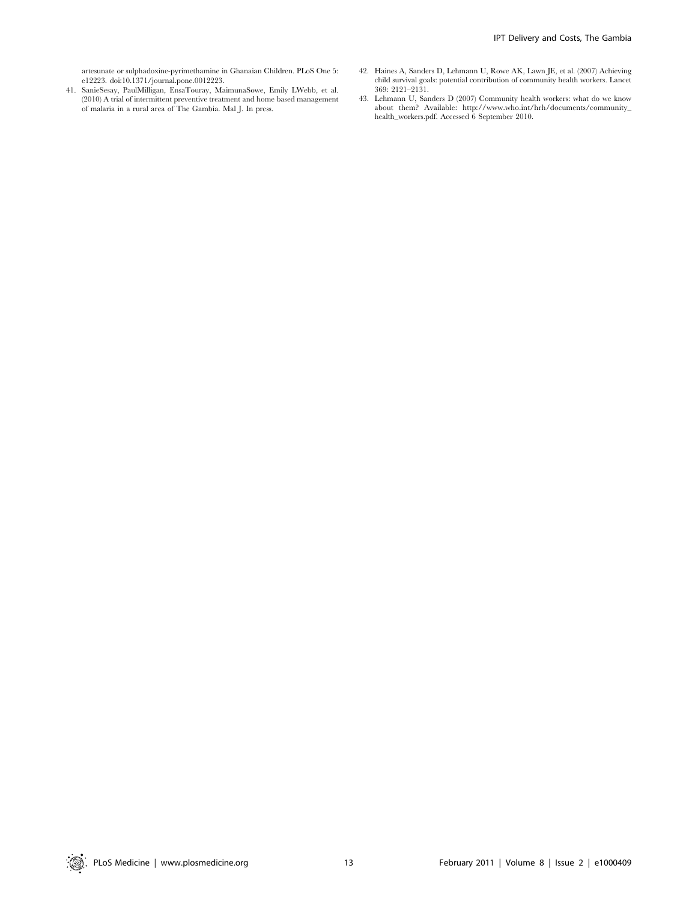artesunate or sulphadoxine-pyrimethamine in Ghanaian Children. PLoS One 5: e12223. doi:10.1371/journal.pone.0012223.

- 41. SanieSesay, PaulMilligan, EnsaTouray, MaimunaSowe, Emily LWebb, et al. (2010) A trial of intermittent preventive treatment and home based management of malaria in a rural area of The Gambia. Mal J. In press.
- 42. Haines A, Sanders D, Lehmann U, Rowe AK, Lawn JE, et al. (2007) Achieving child survival goals: potential contribution of community health workers. Lancet 369: 2121–2131.
- 43. Lehmann U, Sanders D (2007) Community health workers: what do we know about them? Available: http://www.who.int/hrh/documents/community\_ health\_workers.pdf. Accessed 6 September 2010.